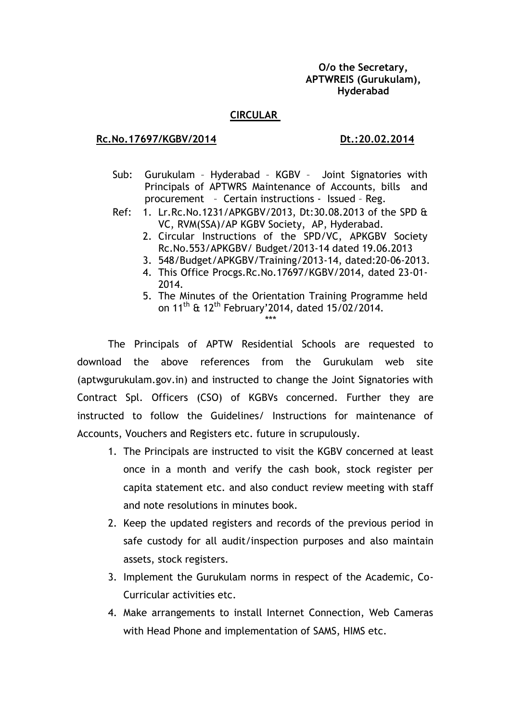## **O/o the Secretary, APTWREIS (Gurukulam), Hyderabad**

#### **CIRCULAR**

## **Rc.No.17697/KGBV/2014** Dt.:20.02.2014

- Sub: Gurukulam Hyderabad KGBV Joint Signatories with Principals of APTWRS Maintenance of Accounts, bills and procurement – Certain instructions - Issued – Reg.
- Ref: 1. Lr.Rc.No.1231/APKGBV/2013, Dt:30.08.2013 of the SPD & VC, RVM(SSA)/AP KGBV Society, AP, Hyderabad.
	- 2. Circular Instructions of the SPD/VC, APKGBV Society Rc.No.553/APKGBV/ Budget/2013-14 dated 19.06.2013
	- 3. 548/Budget/APKGBV/Training/2013-14, dated:20-06-2013.
	- 4. This Office Procgs.Rc.No.17697/KGBV/2014, dated 23-01- 2014.
	- 5. The Minutes of the Orientation Training Programme held on 11<sup>th</sup> & 12<sup>th</sup> February'2014, dated 15/02/2014. \*\*\*

The Principals of APTW Residential Schools are requested to download the above references from the Gurukulam web site (aptwgurukulam.gov.in) and instructed to change the Joint Signatories with Contract Spl. Officers (CSO) of KGBVs concerned. Further they are instructed to follow the Guidelines/ Instructions for maintenance of Accounts, Vouchers and Registers etc. future in scrupulously.

- 1. The Principals are instructed to visit the KGBV concerned at least once in a month and verify the cash book, stock register per capita statement etc. and also conduct review meeting with staff and note resolutions in minutes book.
- 2. Keep the updated registers and records of the previous period in safe custody for all audit/inspection purposes and also maintain assets, stock registers.
- 3. Implement the Gurukulam norms in respect of the Academic, Co-Curricular activities etc.
- 4. Make arrangements to install Internet Connection, Web Cameras with Head Phone and implementation of SAMS, HIMS etc.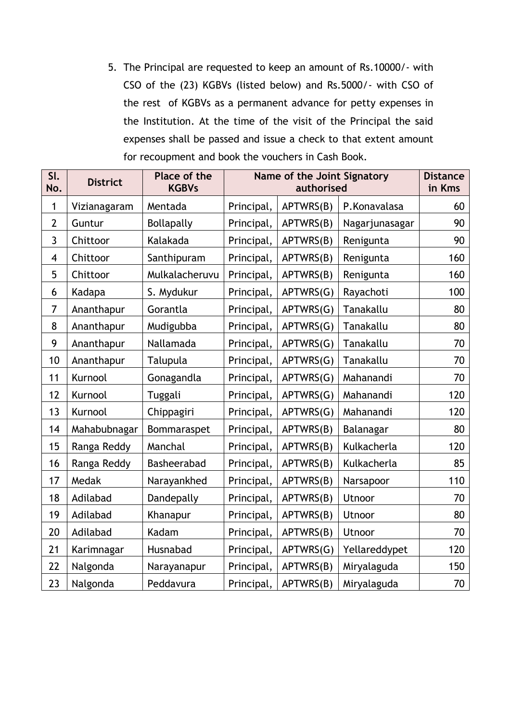5. The Principal are requested to keep an amount of Rs.10000/- with CSO of the (23) KGBVs (listed below) and Rs.5000/- with CSO of the rest of KGBVs as a permanent advance for petty expenses in the Institution. At the time of the visit of the Principal the said expenses shall be passed and issue a check to that extent amount for recoupment and book the vouchers in Cash Book.

| SI.<br>No.              | <b>District</b> | Place of the<br><b>KGBVs</b> | Name of the Joint Signatory<br>authorised |           |                | <b>Distance</b><br>in Kms |
|-------------------------|-----------------|------------------------------|-------------------------------------------|-----------|----------------|---------------------------|
| 1                       | Vizianagaram    | Mentada                      | Principal,                                | APTWRS(B) | P.Konavalasa   | 60                        |
| $\overline{2}$          | Guntur          | <b>Bollapally</b>            | Principal,                                | APTWRS(B) | Nagarjunasagar | 90                        |
| $\overline{3}$          | Chittoor        | Kalakada                     | Principal,                                | APTWRS(B) | Renigunta      | 90                        |
| $\overline{\mathbf{4}}$ | Chittoor        | Santhipuram                  | Principal,                                | APTWRS(B) | Renigunta      | 160                       |
| 5                       | Chittoor        | Mulkalacheruvu               | Principal,                                | APTWRS(B) | Renigunta      | 160                       |
| 6                       | Kadapa          | S. Mydukur                   | Principal,                                | APTWRS(G) | Rayachoti      | 100                       |
| $\overline{7}$          | Ananthapur      | Gorantla                     | Principal,                                | APTWRS(G) | Tanakallu      | 80                        |
| 8                       | Ananthapur      | Mudigubba                    | Principal,                                | APTWRS(G) | Tanakallu      | 80                        |
| 9                       | Ananthapur      | Nallamada                    | Principal,                                | APTWRS(G) | Tanakallu      | 70                        |
| 10                      | Ananthapur      | Talupula                     | Principal,                                | APTWRS(G) | Tanakallu      | 70                        |
| 11                      | Kurnool         | Gonagandla                   | Principal,                                | APTWRS(G) | Mahanandi      | 70                        |
| 12                      | Kurnool         | Tuggali                      | Principal,                                | APTWRS(G) | Mahanandi      | 120                       |
| 13                      | Kurnool         | Chippagiri                   | Principal,                                | APTWRS(G) | Mahanandi      | 120                       |
| 14                      | Mahabubnagar    | Bommaraspet                  | Principal,                                | APTWRS(B) | Balanagar      | 80                        |
| 15                      | Ranga Reddy     | Manchal                      | Principal,                                | APTWRS(B) | Kulkacherla    | 120                       |
| 16                      | Ranga Reddy     | Basheerabad                  | Principal,                                | APTWRS(B) | Kulkacherla    | 85                        |
| 17                      | Medak           | Narayankhed                  | Principal,                                | APTWRS(B) | Narsapoor      | 110                       |
| 18                      | Adilabad        | Dandepally                   | Principal,                                | APTWRS(B) | Utnoor         | 70                        |
| 19                      | Adilabad        | Khanapur                     | Principal,                                | APTWRS(B) | Utnoor         | 80                        |
| 20                      | Adilabad        | Kadam                        | Principal,                                | APTWRS(B) | Utnoor         | 70                        |
| 21                      | Karimnagar      | Husnabad                     | Principal,                                | APTWRS(G) | Yellareddypet  | 120                       |
| 22                      | Nalgonda        | Narayanapur                  | Principal,                                | APTWRS(B) | Miryalaguda    | 150                       |
| 23                      | Nalgonda        | Peddavura                    | Principal,                                | APTWRS(B) | Miryalaguda    | 70                        |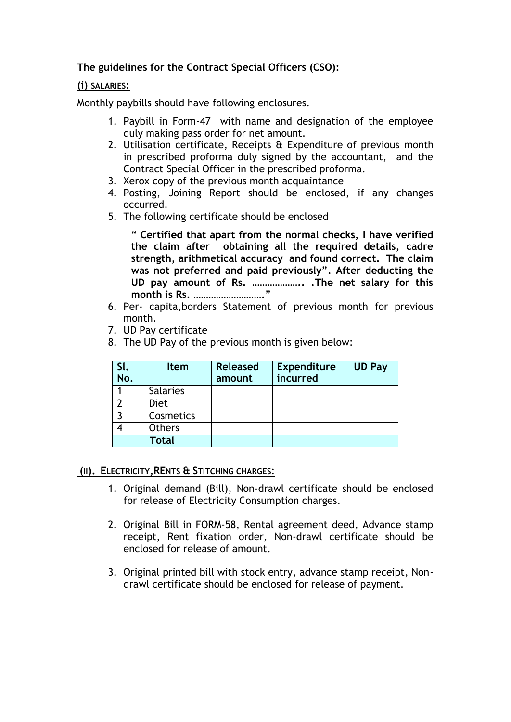# **The guidelines for the Contract Special Officers (CSO):**

## **(i) SALARIES:**

Monthly paybills should have following enclosures.

- 1. Paybill in Form-47 with name and designation of the employee duly making pass order for net amount.
- 2. Utilisation certificate, Receipts & Expenditure of previous month in prescribed proforma duly signed by the accountant, and the Contract Special Officer in the prescribed proforma.
- 3. Xerox copy of the previous month acquaintance
- 4. Posting, Joining Report should be enclosed, if any changes occurred.
- 5. The following certificate should be enclosed

" **Certified that apart from the normal checks, I have verified the claim after obtaining all the required details, cadre strength, arithmetical accuracy and found correct. The claim was not preferred and paid previously". After deducting the UD pay amount of Rs. ……………….. .The net salary for this month is Rs. ……………………….**"

- 6. Per- capita,borders Statement of previous month for previous month.
- 7. UD Pay certificate
- 8. The UD Pay of the previous month is given below:

| SI. | <b>Item</b>     | <b>Released</b> | <b>Expenditure</b> | <b>UD Pay</b> |
|-----|-----------------|-----------------|--------------------|---------------|
| No. |                 | amount          | incurred           |               |
|     | <b>Salaries</b> |                 |                    |               |
|     | <b>Diet</b>     |                 |                    |               |
| ົ   | Cosmetics       |                 |                    |               |
|     | <b>Others</b>   |                 |                    |               |
|     | <b>Total</b>    |                 |                    |               |

## **(II). ELECTRICITY,RENTS & STITCHING CHARGES**:

- 1. Original demand (Bill), Non-drawl certificate should be enclosed for release of Electricity Consumption charges.
- 2. Original Bill in FORM-58, Rental agreement deed, Advance stamp receipt, Rent fixation order, Non-drawl certificate should be enclosed for release of amount.
- 3. Original printed bill with stock entry, advance stamp receipt, Nondrawl certificate should be enclosed for release of payment.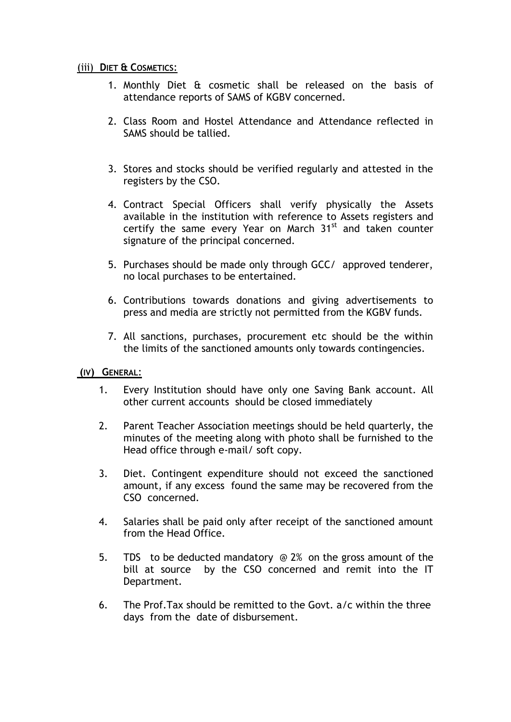## (iii) **DIET & COSMETICS**:

- 1. Monthly Diet & cosmetic shall be released on the basis of attendance reports of SAMS of KGBV concerned.
- 2. Class Room and Hostel Attendance and Attendance reflected in SAMS should be tallied.
- 3. Stores and stocks should be verified regularly and attested in the registers by the CSO.
- 4. Contract Special Officers shall verify physically the Assets available in the institution with reference to Assets registers and certify the same every Year on March  $31<sup>st</sup>$  and taken counter signature of the principal concerned.
- 5. Purchases should be made only through GCC/ approved tenderer, no local purchases to be entertained.
- 6. Contributions towards donations and giving advertisements to press and media are strictly not permitted from the KGBV funds.
- 7. All sanctions, purchases, procurement etc should be the within the limits of the sanctioned amounts only towards contingencies.
- **(IV) GENERAL**:
	- 1. Every Institution should have only one Saving Bank account. All other current accounts should be closed immediately
	- 2. Parent Teacher Association meetings should be held quarterly, the minutes of the meeting along with photo shall be furnished to the Head office through e-mail/ soft copy.
	- 3. Diet. Contingent expenditure should not exceed the sanctioned amount, if any excess found the same may be recovered from the CSO concerned.
	- 4. Salaries shall be paid only after receipt of the sanctioned amount from the Head Office.
	- 5. TDS to be deducted mandatory @ 2% on the gross amount of the bill at source by the CSO concerned and remit into the IT Department.
	- 6. The Prof.Tax should be remitted to the Govt. a/c within the three days from the date of disbursement.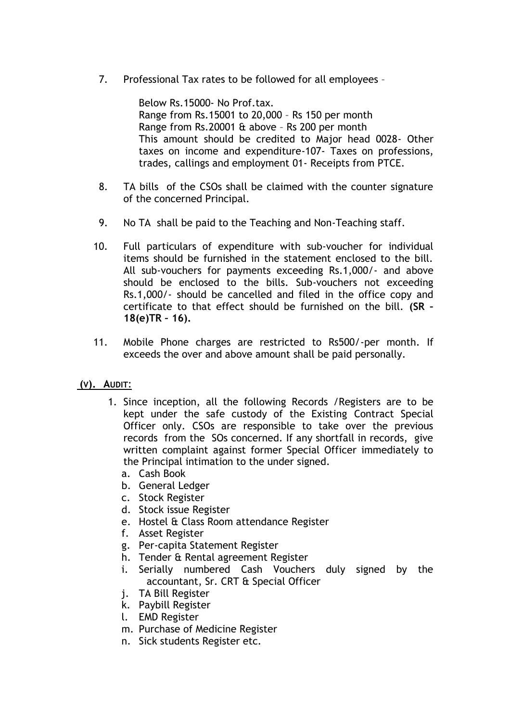7. Professional Tax rates to be followed for all employees –

 Below Rs.15000- No Prof.tax. Range from Rs.15001 to 20,000 – Rs 150 per month Range from Rs.20001 & above – Rs 200 per month This amount should be credited to Major head 0028- Other taxes on income and expenditure-107- Taxes on professions, trades, callings and employment 01- Receipts from PTCE.

- 8. TA bills of the CSOs shall be claimed with the counter signature of the concerned Principal.
- 9. No TA shall be paid to the Teaching and Non-Teaching staff.
- 10. Full particulars of expenditure with sub-voucher for individual items should be furnished in the statement enclosed to the bill. All sub-vouchers for payments exceeding Rs.1,000/- and above should be enclosed to the bills. Sub-vouchers not exceeding Rs.1,000/- should be cancelled and filed in the office copy and certificate to that effect should be furnished on the bill. **(SR – 18(e)TR – 16).**
- 11. Mobile Phone charges are restricted to Rs500/-per month. If exceeds the over and above amount shall be paid personally.

# **(V). AUDIT**:

- 1. Since inception, all the following Records /Registers are to be kept under the safe custody of the Existing Contract Special Officer only. CSOs are responsible to take over the previous records from the SOs concerned. If any shortfall in records, give written complaint against former Special Officer immediately to the Principal intimation to the under signed.
	- a. Cash Book
	- b. General Ledger
	- c. Stock Register
	- d. Stock issue Register
	- e. Hostel & Class Room attendance Register
	- f. Asset Register
	- g. Per-capita Statement Register
	- h. Tender & Rental agreement Register
	- i. Serially numbered Cash Vouchers duly signed by the accountant, Sr. CRT & Special Officer
	- j. TA Bill Register
	- k. Paybill Register
	- l. EMD Register
	- m. Purchase of Medicine Register
	- n. Sick students Register etc.